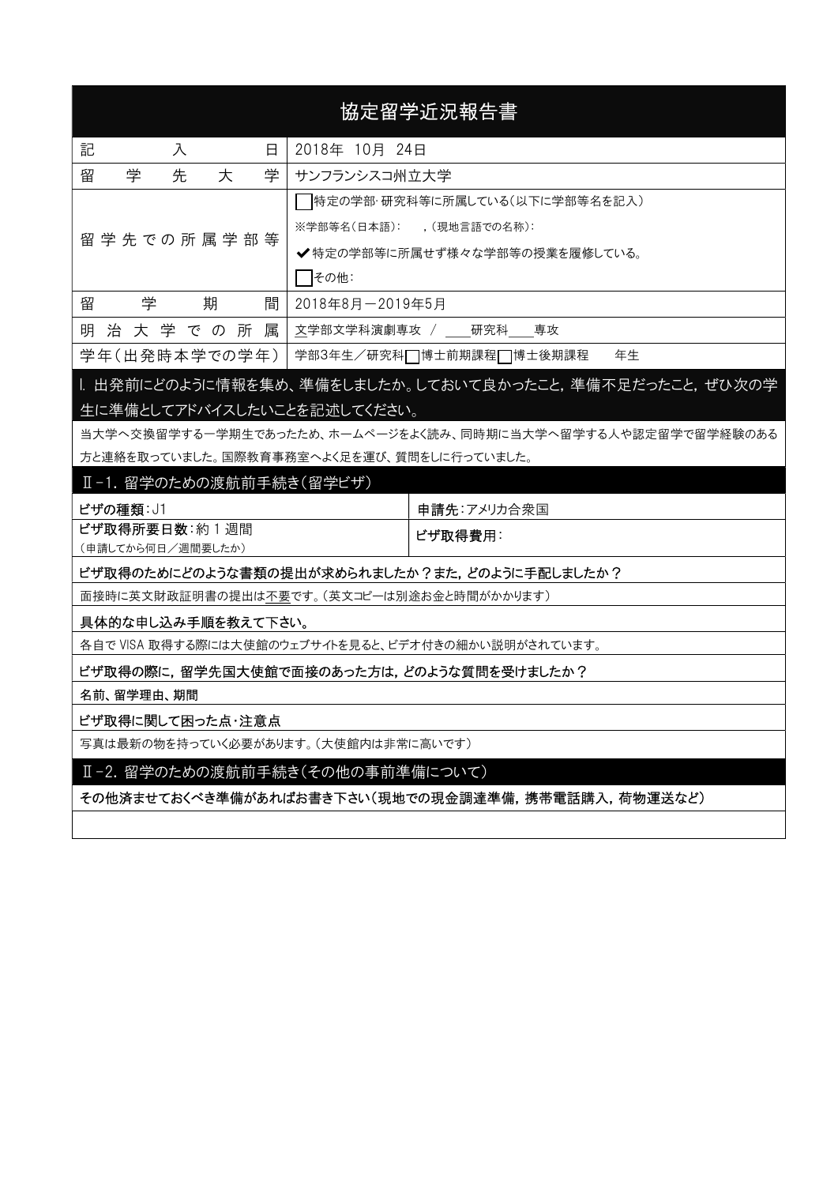| 協定留学近況報告書                                          |                 |                                                             |  |  |  |  |
|----------------------------------------------------|-----------------|-------------------------------------------------------------|--|--|--|--|
| 記<br>入<br>日                                        | 2018年 10月 24日   |                                                             |  |  |  |  |
| 先<br>留<br>学<br>学<br>大                              | サンフランシスコ州立大学    |                                                             |  |  |  |  |
|                                                    |                 | 特定の学部・研究科等に所属している(以下に学部等名を記入)                               |  |  |  |  |
| 留 学 先 で の 所 属 学 部 等                                |                 | ※学部等名(日本語): ,(現地言語での名称):                                    |  |  |  |  |
|                                                    |                 | ✔ 特定の学部等に所属せず様々な学部等の授業を履修している。                              |  |  |  |  |
|                                                    | その他:            |                                                             |  |  |  |  |
| 学<br>留<br>期<br>間                                   | 2018年8月-2019年5月 |                                                             |  |  |  |  |
| 治 大 学 で の 所 属<br>明                                 |                 | 文学部文学科演劇専攻 / 研究科 専攻                                         |  |  |  |  |
| 学年(出発時本学での学年)                                      |                 | 学部3年生/研究科□博士前期課程□博士後期課程<br>年生                               |  |  |  |  |
|                                                    |                 | l. 出発前にどのように情報を集め、準備をしましたか。しておいて良かったこと,準備不足だったこと, ぜひ次の学     |  |  |  |  |
| 生に準備としてアドバイスしたいことを記述してください。                        |                 |                                                             |  |  |  |  |
|                                                    |                 | 当大学へ交換留学する一学期生であったため、ホームページをよく読み、同時期に当大学へ留学する人や認定留学で留学経験のある |  |  |  |  |
| 方と連絡を取っていました。国際教育事務室へよく足を運び、質問をしに行っていました。          |                 |                                                             |  |  |  |  |
| Ⅱ-1. 留学のための渡航前手続き(留学ビザ)                            |                 |                                                             |  |  |  |  |
| ビザの種類: J1                                          |                 | 申請先:アメリカ合衆国                                                 |  |  |  |  |
| ビザ取得所要日数:約1週間<br>(申請してから何日/週間要したか)                 |                 | ビザ取得費用:                                                     |  |  |  |  |
|                                                    |                 | ビザ取得のためにどのような書類の提出が求められましたか?また,どのように手配しましたか?                |  |  |  |  |
| 面接時に英文財政証明書の提出は <u>不要</u> です。(英文コピーは別途お金と時間がかかります) |                 |                                                             |  |  |  |  |
| 具体的な申し込み手順を教えて下さい。                                 |                 |                                                             |  |  |  |  |
| 各自で VISA 取得する際には大使館のウェブサイトを見ると、ビデオ付きの細かい説明がされています。 |                 |                                                             |  |  |  |  |
| ビザ取得の際に,留学先国大使館で面接のあった方は,どのような質問を受けましたか?           |                 |                                                             |  |  |  |  |
| 名前、留学理由、期間                                         |                 |                                                             |  |  |  |  |
| ビザ取得に関して困った点・注意点                                   |                 |                                                             |  |  |  |  |
| 写真は最新の物を持っていく必要があります。(大使館内は非常に高いです)                |                 |                                                             |  |  |  |  |
| Ⅱ-2. 留学のための渡航前手続き(その他の事前準備について)                    |                 |                                                             |  |  |  |  |
| その他済ませておくべき準備があればお書き下さい(現地での現金調達準備,携帯電話購入,荷物運送など)  |                 |                                                             |  |  |  |  |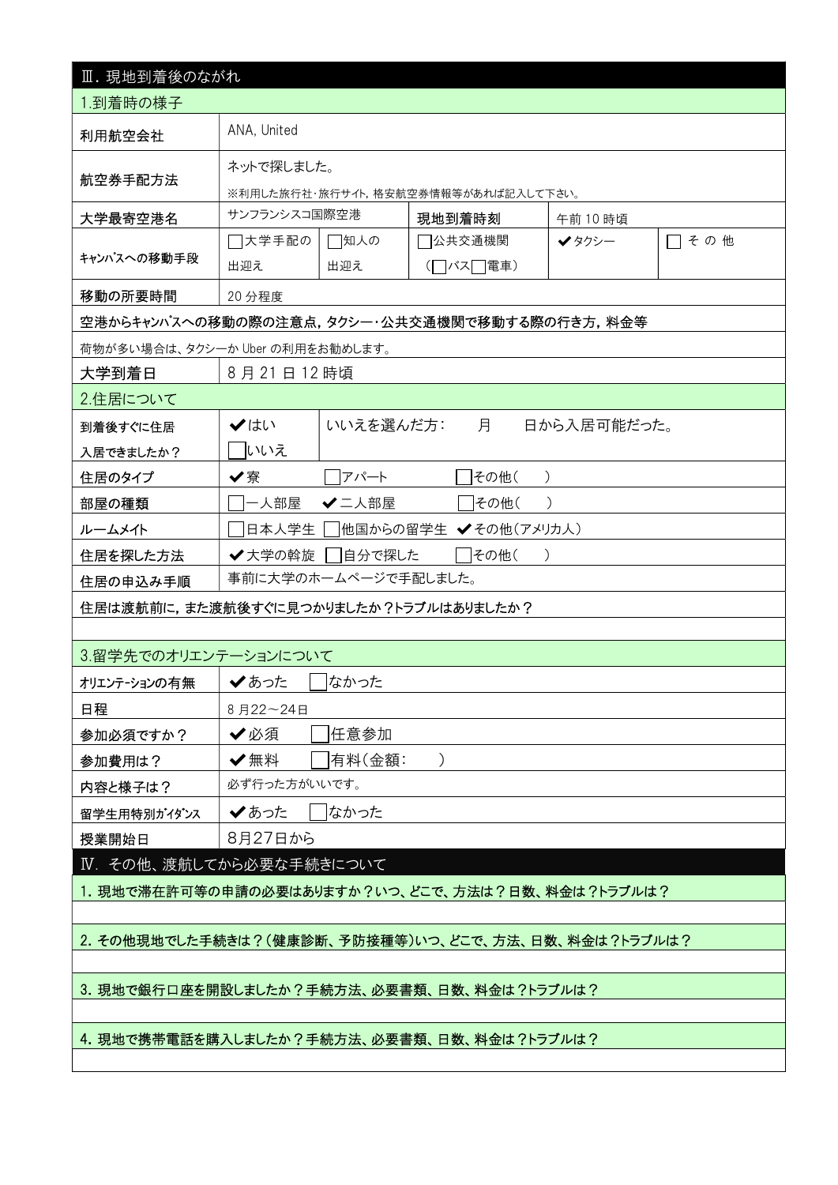| Ⅲ. 現地到着後のながれ                                        |                                       |                                     |                     |             |      |  |  |  |
|-----------------------------------------------------|---------------------------------------|-------------------------------------|---------------------|-------------|------|--|--|--|
| 1.到着時の様子                                            |                                       |                                     |                     |             |      |  |  |  |
| 利用航空会社                                              | ANA, United                           |                                     |                     |             |      |  |  |  |
| 航空券手配方法                                             | ネットで探しました。                            |                                     |                     |             |      |  |  |  |
|                                                     |                                       | ※利用した旅行社・旅行サイト,格安航空券情報等があれば記入して下さい。 |                     |             |      |  |  |  |
| 大学最寄空港名                                             | サンフランシスコ国際空港                          |                                     | 現地到着時刻              | 午前10時頃      |      |  |  |  |
| キャンパスへの移動手段                                         | □大学手配の<br>出迎え                         | □知人の<br>出迎え                         | 7公共交通機関<br>(□バス□電車) | ✔タクシー       | □その他 |  |  |  |
| 移動の所要時間                                             | 20 分程度                                |                                     |                     |             |      |  |  |  |
| 空港からキャンパスへの移動の際の注意点,タクシー・公共交通機関で移動する際の行き方,料金等       |                                       |                                     |                     |             |      |  |  |  |
| 荷物が多い場合は、タクシーか Uber の利用をお勧めします。                     |                                       |                                     |                     |             |      |  |  |  |
| 大学到着日                                               | 8月21日12時頃                             |                                     |                     |             |      |  |  |  |
| 2.住居について                                            |                                       |                                     |                     |             |      |  |  |  |
| 到着後すぐに住居                                            | ✔はい                                   | いいえを選んだ方:                           | 月                   | 日から入居可能だった。 |      |  |  |  |
| 入居できましたか?                                           | いいえ                                   |                                     |                     |             |      |  |  |  |
| 住居のタイプ                                              | ✔寮                                    | アパート                                | その他(                |             |      |  |  |  |
| 部屋の種類                                               | 一人部屋                                  | ✔二人部屋<br> その他(                      |                     |             |      |  |  |  |
| ルームメイト                                              | 他国からの留学生 ✔その他(アメリカ人)<br> 日本人学生        |                                     |                     |             |      |  |  |  |
| 住居を探した方法                                            | ✔大学の斡旋<br>自分で探した<br>その他(<br>$\lambda$ |                                     |                     |             |      |  |  |  |
| 住居の申込み手順                                            | 事前に大学のホームページで手配しました。                  |                                     |                     |             |      |  |  |  |
| 住居は渡航前に,また渡航後すぐに見つかりましたか?トラブルはありましたか?               |                                       |                                     |                     |             |      |  |  |  |
|                                                     |                                       |                                     |                     |             |      |  |  |  |
| 3.留学先でのオリエンテーションについて                                |                                       |                                     |                     |             |      |  |  |  |
| オリエンテーションの有無                                        | ✔あった                                  | なかった                                |                     |             |      |  |  |  |
| 日程                                                  | 8月22~24日                              |                                     |                     |             |      |  |  |  |
| 参加必須ですか?                                            | 任意参加<br>✔必須                           |                                     |                     |             |      |  |  |  |
| 参加費用は?                                              | ✔無料                                   | 有料(金額:                              |                     |             |      |  |  |  |
| 内容と様子は?                                             | 必ず行った方がいいです。                          |                                     |                     |             |      |  |  |  |
| 留学生用特別がイダンス                                         | なかった<br>✔あった                          |                                     |                     |             |      |  |  |  |
| 授業開始日                                               | 8月27日から                               |                                     |                     |             |      |  |  |  |
| IV. その他、渡航してから必要な手続きについて                            |                                       |                                     |                     |             |      |  |  |  |
| 1. 現地で滞在許可等の申請の必要はありますか?いつ、どこで、方法は?日数、料金は?トラブルは?    |                                       |                                     |                     |             |      |  |  |  |
|                                                     |                                       |                                     |                     |             |      |  |  |  |
| 2. その他現地でした手続きは?(健康診断、予防接種等)いつ、どこで、方法、日数、料金は?トラブルは? |                                       |                                     |                     |             |      |  |  |  |
|                                                     |                                       |                                     |                     |             |      |  |  |  |
| 3. 現地で銀行口座を開設しましたか?手続方法、必要書類、日数、料金は?トラブルは?          |                                       |                                     |                     |             |      |  |  |  |
|                                                     |                                       |                                     |                     |             |      |  |  |  |
| 4. 現地で携帯電話を購入しましたか?手続方法、必要書類、日数、料金は?トラブルは?          |                                       |                                     |                     |             |      |  |  |  |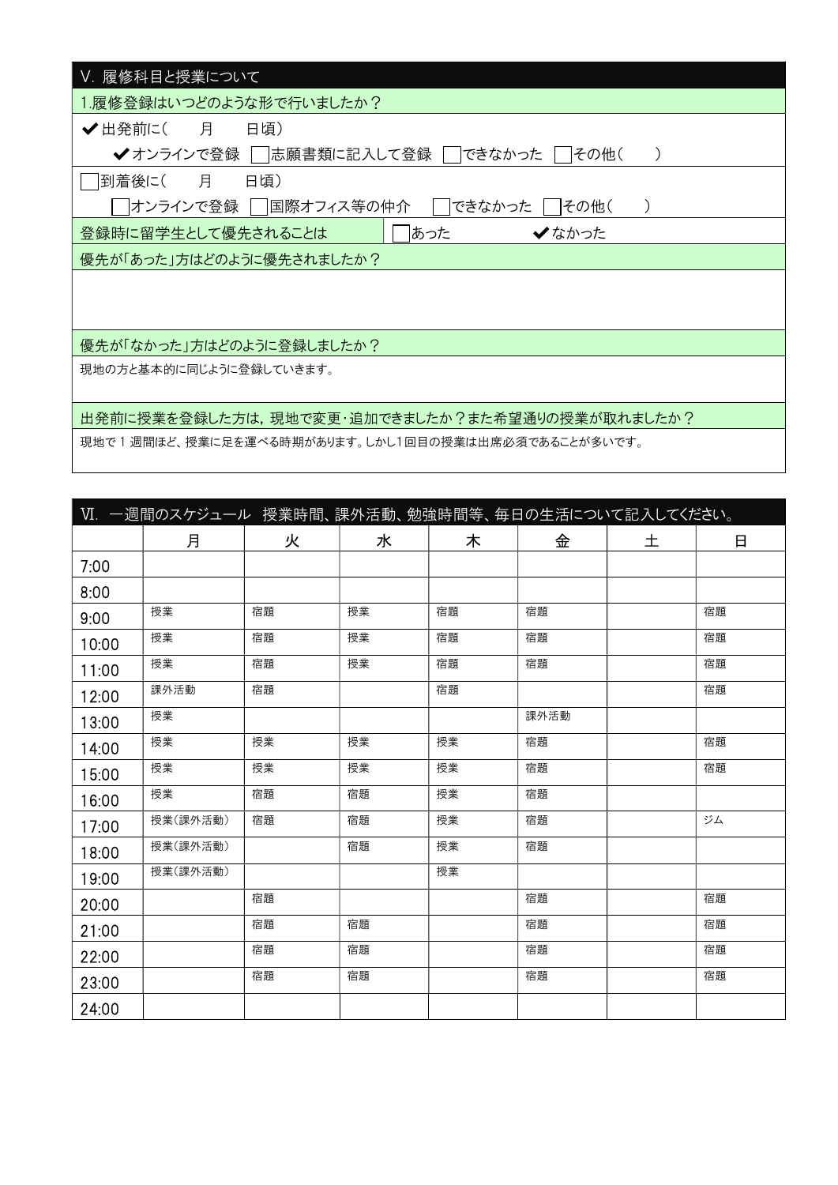| Ⅴ. 履修科目と授業について                                     |
|----------------------------------------------------|
| 1.履修登録はいつどのような形で行いましたか?                            |
| ✔ 出発前に( 月<br>日頃)                                   |
| 志願書類に記入して登録  <br>できなかった<br>✔ オンラインで登録  <br> その他(   |
| 月<br>日頃)<br> 到着後に(                                 |
| 困際オフィス等の仲介<br>できなかった<br> オンラインで登録  <br> その他(       |
| あった<br>登録時に留学生として優先されることは<br>✔なかった                 |
| 優先が「あった」方はどのように優先されましたか?                           |
|                                                    |
|                                                    |
| 優先が「なかった」方はどのように登録しましたか?                           |
| 現地の方と基本的に同じように登録していきます。                            |
|                                                    |
| 出発前に授業を登録した方は,現地で変更・追加できましたか?また希望通りの授業が取れましたか?     |
| 現地で1週間ほど、授業に足を運べる時期があります。しかし1回目の授業は出席必須であることが多いです。 |

|       | Ⅵ. 一週間のスケジュール 授業時間、課外活動、勉強時間等、毎日の生活について記入してください。 |    |    |    |      |   |    |
|-------|--------------------------------------------------|----|----|----|------|---|----|
|       | 月                                                | 火  | 水  | 木  | 金    | 土 | 日  |
| 7:00  |                                                  |    |    |    |      |   |    |
| 8:00  |                                                  |    |    |    |      |   |    |
| 9:00  | 授業                                               | 宿題 | 授業 | 宿題 | 宿題   |   | 宿題 |
| 10:00 | 授業                                               | 宿題 | 授業 | 宿題 | 宿題   |   | 宿題 |
| 11:00 | 授業                                               | 宿題 | 授業 | 宿題 | 宿題   |   | 宿題 |
| 12:00 | 課外活動                                             | 宿題 |    | 宿題 |      |   | 宿題 |
| 13:00 | 授業                                               |    |    |    | 課外活動 |   |    |
| 14:00 | 授業                                               | 授業 | 授業 | 授業 | 宿題   |   | 宿題 |
| 15:00 | 授業                                               | 授業 | 授業 | 授業 | 宿題   |   | 宿題 |
| 16:00 | 授業                                               | 宿題 | 宿題 | 授業 | 宿題   |   |    |
| 17:00 | 授業(課外活動)                                         | 宿題 | 宿題 | 授業 | 宿題   |   | ジム |
| 18:00 | 授業(課外活動)                                         |    | 宿題 | 授業 | 宿題   |   |    |
| 19:00 | 授業(課外活動)                                         |    |    | 授業 |      |   |    |
| 20:00 |                                                  | 宿題 |    |    | 宿題   |   | 宿題 |
| 21:00 |                                                  | 宿題 | 宿題 |    | 宿題   |   | 宿題 |
| 22:00 |                                                  | 宿題 | 宿題 |    | 宿題   |   | 宿題 |
| 23:00 |                                                  | 宿題 | 宿題 |    | 宿題   |   | 宿題 |
| 24:00 |                                                  |    |    |    |      |   |    |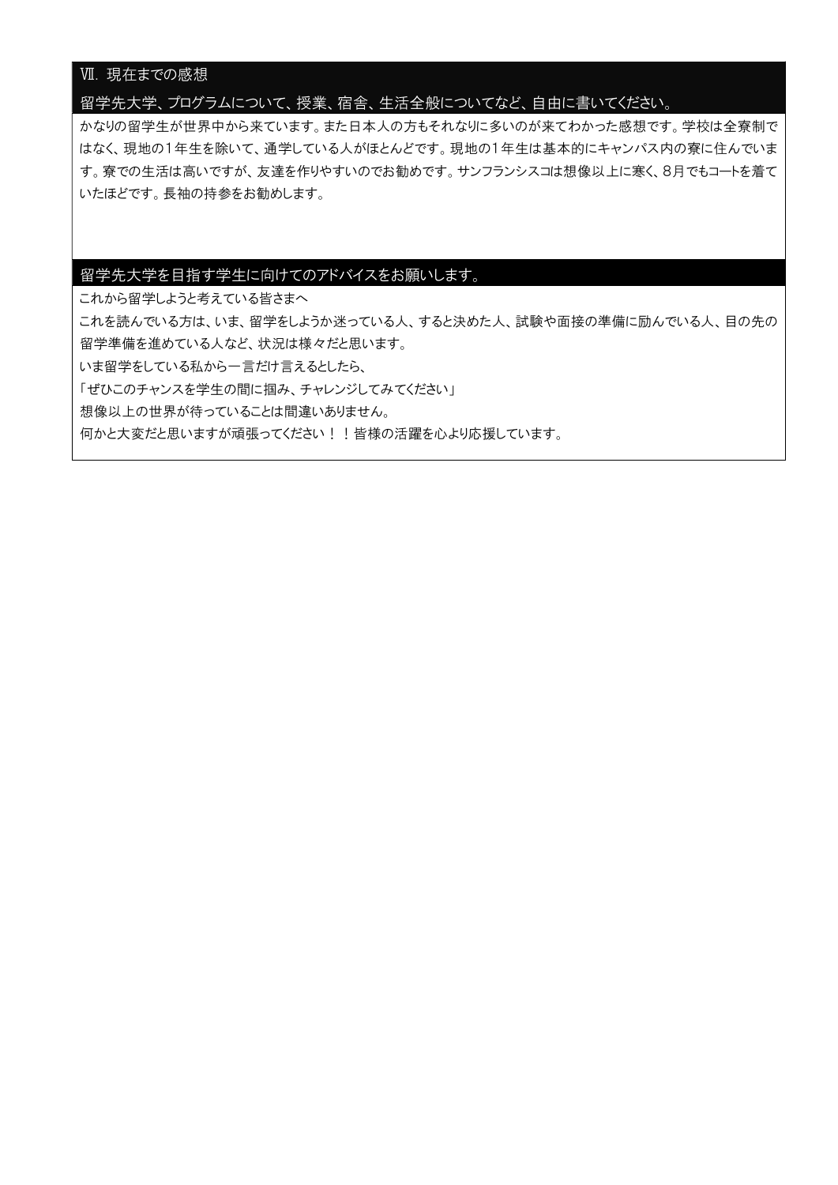### Ⅶ. 現在までの感想

#### 留学先大学、プログラムについて、授業、宿舎、生活全般についてなど、自由に書いてください。

かなりの留学生が世界中から来ています。また日本人の方もそれなりに多いのが来てわかった感想です。学校は全寮制で はなく、現地の1年生を除いて、通学している人がほとんどです。現地の1年生は基本的にキャンパス内の寮に住んでいま す。寮での生活は高いですが、友達を作りやすいのでお勧めです。サンフランシスコは想像以上に寒く、8月でもコートを着て いたほどです。長袖の持参をお勧めします。

### 留学先大学を目指す学生に向けてのアドバイスをお願いします。

これから留学しようと考えている皆さまへ

これを読んでいる方は、いま、留学をしようか迷っている人、すると決めた人、試験や面接の準備に励んでいる人、目の先の 留学準備を進めている人など、状況は様々だと思います。

いま留学をしている私から一言だけ言えるとしたら、

「ぜひこのチャンスを学生の間に掴み、チャレンジしてみてください」

想像以上の世界が待っていることは間違いありません。

何かと大変だと思いますが頑張ってください!!皆様の活躍を心より応援しています。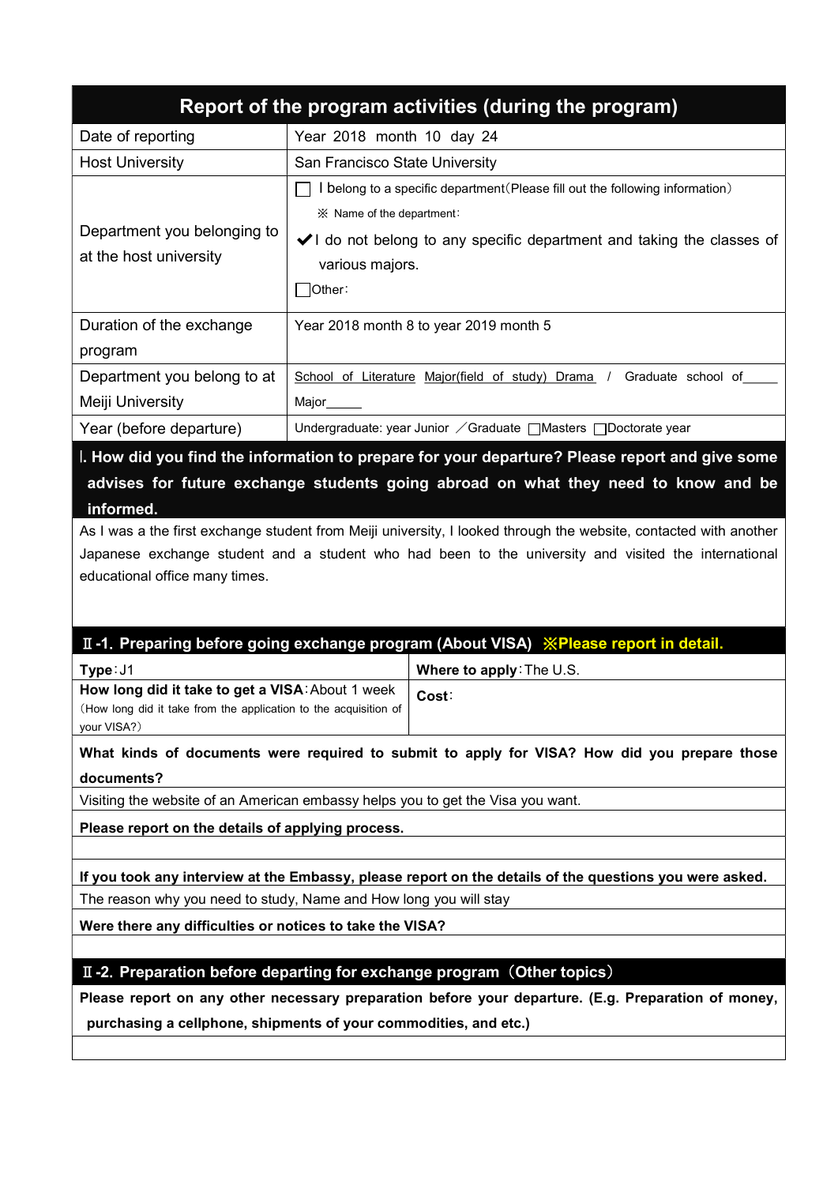| Report of the program activities (during the program) |                                                                                                                                                                                                                           |  |  |  |  |  |  |
|-------------------------------------------------------|---------------------------------------------------------------------------------------------------------------------------------------------------------------------------------------------------------------------------|--|--|--|--|--|--|
| Date of reporting                                     | Year 2018 month 10 day 24                                                                                                                                                                                                 |  |  |  |  |  |  |
| <b>Host University</b>                                | San Francisco State University                                                                                                                                                                                            |  |  |  |  |  |  |
| Department you belonging to<br>at the host university | belong to a specific department (Please fill out the following information)<br>$\mathbb X$ Name of the department:<br>VI do not belong to any specific department and taking the classes of<br>various majors.<br> Other: |  |  |  |  |  |  |
| Duration of the exchange                              | Year 2018 month 8 to year 2019 month 5                                                                                                                                                                                    |  |  |  |  |  |  |
| program                                               |                                                                                                                                                                                                                           |  |  |  |  |  |  |
| Department you belong to at                           | School of Literature Major(field of study) Drama /<br>Graduate school of                                                                                                                                                  |  |  |  |  |  |  |
| Meiji University                                      | Major                                                                                                                                                                                                                     |  |  |  |  |  |  |
| Year (before departure)                               | Undergraduate: year Junior / Graduate   Masters   Doctorate year                                                                                                                                                          |  |  |  |  |  |  |

I. How did you find the information to prepare for your departure? Please report and give some advises for future exchange students going abroad on what they need to know and be informed.

As I was a the first exchange student from Meiji university, I looked through the website, contacted with another Japanese exchange student and a student who had been to the university and visited the international educational office many times.

# Ⅱ-1. Preparing before going exchange program (About VISA) ※Please report in detail.

| Type: J1                                                             | Where to apply: The U.S. |  |  |
|----------------------------------------------------------------------|--------------------------|--|--|
| How long did it take to get a VISA: About 1 week   Cost:             |                          |  |  |
| (How long did it take from the application to the acquisition of $ $ |                          |  |  |
| your VISA?)                                                          |                          |  |  |

What kinds of documents were required to submit to apply for VISA? How did you prepare those documents?

Visiting the website of an American embassy helps you to get the Visa you want.

Please report on the details of applying process.

If you took any interview at the Embassy, please report on the details of the questions you were asked. The reason why you need to study, Name and How long you will stay

Were there any difficulties or notices to take the VISA?

### II-2. Preparation before departing for exchange program (Other topics)

Please report on any other necessary preparation before your departure. (E.g. Preparation of money, purchasing a cellphone, shipments of your commodities, and etc.)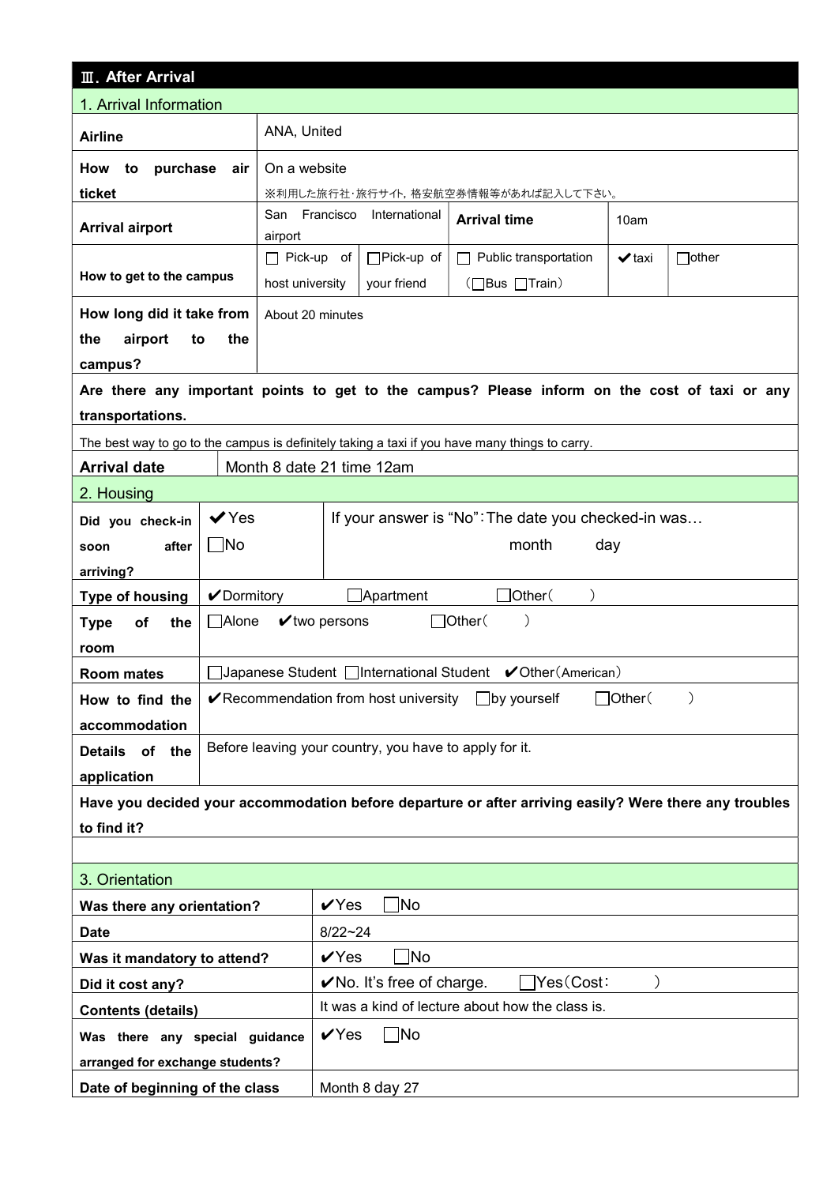| <b>III. After Arrival</b>                                                                              |              |                           |                                                                |                                       |                                                                                                |               |              |
|--------------------------------------------------------------------------------------------------------|--------------|---------------------------|----------------------------------------------------------------|---------------------------------------|------------------------------------------------------------------------------------------------|---------------|--------------|
| 1. Arrival Information                                                                                 |              |                           |                                                                |                                       |                                                                                                |               |              |
| <b>Airline</b>                                                                                         | ANA, United  |                           |                                                                |                                       |                                                                                                |               |              |
| How<br>to<br>purchase                                                                                  | air          | On a website              |                                                                |                                       |                                                                                                |               |              |
| ticket<br>※利用した旅行社・旅行サイト,格安航空券情報等があれば記入して下さい。                                                          |              |                           |                                                                |                                       |                                                                                                |               |              |
| <b>Arrival airport</b>                                                                                 |              | San Francisco<br>airport  | International<br><b>Arrival time</b><br>10am                   |                                       |                                                                                                |               |              |
|                                                                                                        |              | $\Box$ Pick-up of         |                                                                | $\Box$ Pick-up of                     | Public transportation<br>П                                                                     | $\vee$ taxi   | $\Box$ other |
| How to get to the campus                                                                               |              | host university           |                                                                | your friend                           | (□Bus □Train)                                                                                  |               |              |
| How long did it take from                                                                              |              | About 20 minutes          |                                                                |                                       |                                                                                                |               |              |
| airport<br>the<br>to                                                                                   | the          |                           |                                                                |                                       |                                                                                                |               |              |
| campus?                                                                                                |              |                           |                                                                |                                       |                                                                                                |               |              |
|                                                                                                        |              |                           |                                                                |                                       | Are there any important points to get to the campus? Please inform on the cost of taxi or any  |               |              |
| transportations.                                                                                       |              |                           |                                                                |                                       |                                                                                                |               |              |
|                                                                                                        |              |                           |                                                                |                                       | The best way to go to the campus is definitely taking a taxi if you have many things to carry. |               |              |
| <b>Arrival date</b>                                                                                    |              | Month 8 date 21 time 12am |                                                                |                                       |                                                                                                |               |              |
| 2. Housing                                                                                             |              |                           |                                                                |                                       |                                                                                                |               |              |
| Did you check-in                                                                                       | $\vee$ Yes   |                           |                                                                |                                       | If your answer is "No": The date you checked-in was                                            |               |              |
| after<br>soon                                                                                          | $\Box$ No    |                           |                                                                |                                       | month                                                                                          | day           |              |
| arriving?                                                                                              |              |                           |                                                                |                                       |                                                                                                |               |              |
| <b>Type of housing</b>                                                                                 | ✔Dormitory   |                           |                                                                | $\Box$ Apartment                      | $\exists$ Other $($                                                                            |               |              |
| of<br>the<br><b>Type</b>                                                                               | $\Box$ Alone |                           | $\mathbf v$ two persons                                        |                                       | $\Box$ Other $($<br>$\mathcal{E}$                                                              |               |              |
| room                                                                                                   |              |                           |                                                                |                                       |                                                                                                |               |              |
| <b>Room mates</b>                                                                                      |              |                           |                                                                |                                       |                                                                                                |               |              |
| How to find the                                                                                        |              |                           |                                                                | ✔ Recommendation from host university | $\Box$ by yourself                                                                             | $J$ Other $($ |              |
| accommodation                                                                                          |              |                           |                                                                |                                       | Before leaving your country, you have to apply for it.                                         |               |              |
| <b>Details</b><br>of the                                                                               |              |                           |                                                                |                                       |                                                                                                |               |              |
| application                                                                                            |              |                           |                                                                |                                       |                                                                                                |               |              |
| Have you decided your accommodation before departure or after arriving easily? Were there any troubles |              |                           |                                                                |                                       |                                                                                                |               |              |
| to find it?                                                                                            |              |                           |                                                                |                                       |                                                                                                |               |              |
| 3. Orientation                                                                                         |              |                           |                                                                |                                       |                                                                                                |               |              |
| Was there any orientation?                                                                             |              |                           | Mo]<br>$\sqrt{Y}$ es                                           |                                       |                                                                                                |               |              |
| <b>Date</b>                                                                                            |              |                           | $8/22 - 24$                                                    |                                       |                                                                                                |               |              |
| Was it mandatory to attend?                                                                            |              |                           | $VY$ es<br>้ No                                                |                                       |                                                                                                |               |              |
| Did it cost any?                                                                                       |              |                           | $\sqrt{}$ No. It's free of charge.<br>$\bigcap$ Yes $(Cost)$ : |                                       |                                                                                                |               |              |
| <b>Contents (details)</b>                                                                              |              |                           |                                                                |                                       | It was a kind of lecture about how the class is.                                               |               |              |
| Was there any special guidance                                                                         |              |                           | $V$ Yes<br>_No                                                 |                                       |                                                                                                |               |              |
| arranged for exchange students?                                                                        |              |                           |                                                                |                                       |                                                                                                |               |              |
| Date of beginning of the class                                                                         |              |                           | Month 8 day 27                                                 |                                       |                                                                                                |               |              |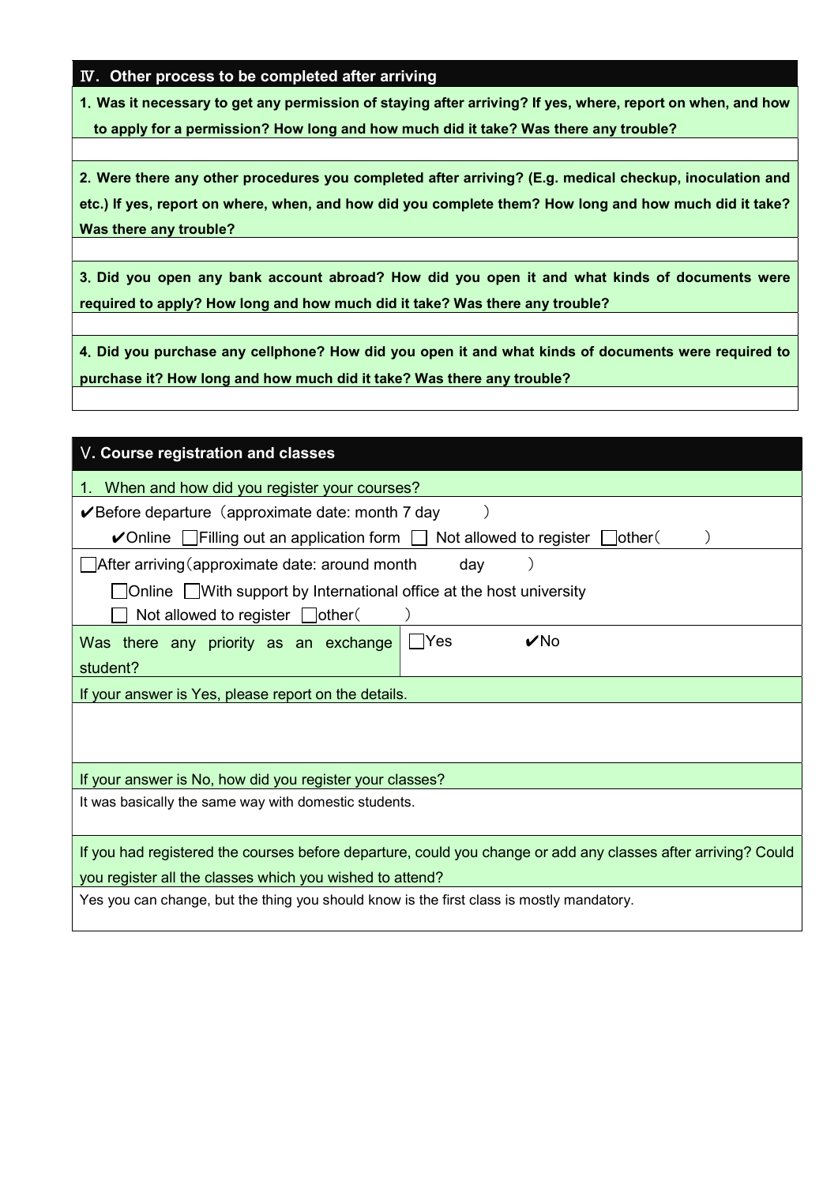### Ⅳ. Other process to be completed after arriving

1.Was it necessary to get any permission of staying after arriving? If yes, where, report on when, and how to apply for a permission? How long and how much did it take? Was there any trouble?

2.Were there any other procedures you completed after arriving? (E.g. medical checkup, inoculation and etc.) If yes, report on where, when, and how did you complete them? How long and how much did it take? Was there any trouble?

3.Did you open any bank account abroad? How did you open it and what kinds of documents were required to apply? How long and how much did it take? Was there any trouble?

4.Did you purchase any cellphone? How did you open it and what kinds of documents were required to purchase it? How long and how much did it take? Was there any trouble?

| V. Course registration and classes                                                                                                                             |  |  |  |  |  |  |  |
|----------------------------------------------------------------------------------------------------------------------------------------------------------------|--|--|--|--|--|--|--|
| 1. When and how did you register your courses?                                                                                                                 |  |  |  |  |  |  |  |
| $\vee$ Before departure (approximate date: month 7 day                                                                                                         |  |  |  |  |  |  |  |
| $\triangleright$ Online $\lfloor \cdot \rfloor$ Filling out an application form $\lfloor \cdot \rfloor$ Not allowed to register $\lfloor \cdot \rfloor$ other( |  |  |  |  |  |  |  |
| After arriving (approximate date: around month<br>day                                                                                                          |  |  |  |  |  |  |  |
| $\Box$ Online $\Box$ With support by International office at the host university                                                                               |  |  |  |  |  |  |  |
| Not allowed to register $\Box$ other(                                                                                                                          |  |  |  |  |  |  |  |
| $\nu$ No<br>- IYes<br>Was there any priority as an exchange                                                                                                    |  |  |  |  |  |  |  |
| student?                                                                                                                                                       |  |  |  |  |  |  |  |
| If your answer is Yes, please report on the details.                                                                                                           |  |  |  |  |  |  |  |
|                                                                                                                                                                |  |  |  |  |  |  |  |
|                                                                                                                                                                |  |  |  |  |  |  |  |
| If your answer is No, how did you register your classes?                                                                                                       |  |  |  |  |  |  |  |
| It was basically the same way with domestic students.                                                                                                          |  |  |  |  |  |  |  |
|                                                                                                                                                                |  |  |  |  |  |  |  |
| If you had registered the courses before departure, could you change or add any classes after arriving? Could                                                  |  |  |  |  |  |  |  |
| you register all the classes which you wished to attend?                                                                                                       |  |  |  |  |  |  |  |
| Yes you can change, but the thing you should know is the first class is mostly mandatory.                                                                      |  |  |  |  |  |  |  |
|                                                                                                                                                                |  |  |  |  |  |  |  |